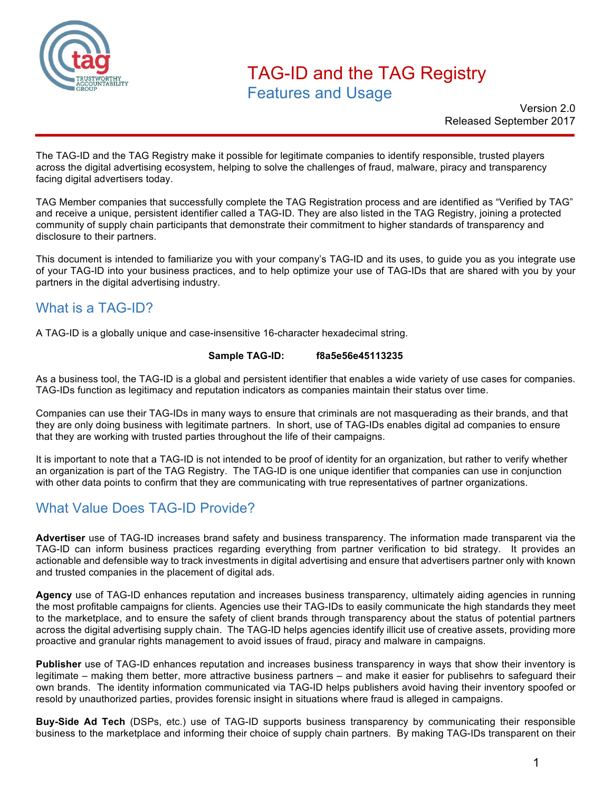

## TAG-ID and the TAG Registry Features and Usage

Version 2.0 Released September 2017

The TAG-ID and the TAG Registry make it possible for legitimate companies to identify responsible, trusted players across the digital advertising ecosystem, helping to solve the challenges of fraud, malware, piracy and transparency facing digital advertisers today.

TAG Member companies that successfully complete the TAG Registration process and are identified as "Verified by TAG" and receive a unique, persistent identifier called a TAG-ID. They are also listed in the TAG Registry, joining a protected community of supply chain participants that demonstrate their commitment to higher standards of transparency and disclosure to their partners.

This document is intended to familiarize you with your company's TAG-ID and its uses, to guide you as you integrate use of your TAG-ID into your business practices, and to help optimize your use of TAG-IDs that are shared with you by your partners in the digital advertising industry.

## What is a TAG-ID?

A TAG-ID is a globally unique and case-insensitive 16-character hexadecimal string.

#### **Sample TAG-ID: f8a5e56e45113235**

As a business tool, the TAG-ID is a global and persistent identifier that enables a wide variety of use cases for companies. TAG-IDs function as legitimacy and reputation indicators as companies maintain their status over time.

Companies can use their TAG-IDs in many ways to ensure that criminals are not masquerading as their brands, and that they are only doing business with legitimate partners. In short, use of TAG-IDs enables digital ad companies to ensure that they are working with trusted parties throughout the life of their campaigns.

It is important to note that a TAG-ID is not intended to be proof of identity for an organization, but rather to verify whether an organization is part of the TAG Registry. The TAG-ID is one unique identifier that companies can use in conjunction with other data points to confirm that they are communicating with true representatives of partner organizations.

## What Value Does TAG-ID Provide?

**Advertiser** use of TAG-ID increases brand safety and business transparency. The information made transparent via the TAG-ID can inform business practices regarding everything from partner verification to bid strategy. It provides an actionable and defensible way to track investments in digital advertising and ensure that advertisers partner only with known and trusted companies in the placement of digital ads.

**Agency** use of TAG-ID enhances reputation and increases business transparency, ultimately aiding agencies in running the most profitable campaigns for clients. Agencies use their TAG-IDs to easily communicate the high standards they meet to the marketplace, and to ensure the safety of client brands through transparency about the status of potential partners across the digital advertising supply chain. The TAG-ID helps agencies identify illicit use of creative assets, providing more proactive and granular rights management to avoid issues of fraud, piracy and malware in campaigns.

**Publisher** use of TAG-ID enhances reputation and increases business transparency in ways that show their inventory is legitimate – making them better, more attractive business partners – and make it easier for publisehrs to safeguard their own brands. The identity information communicated via TAG-ID helps publishers avoid having their inventory spoofed or resold by unauthorized parties, provides forensic insight in situations where fraud is alleged in campaigns.

**Buy-Side Ad Tech** (DSPs, etc.) use of TAG-ID supports business transparency by communicating their responsible business to the marketplace and informing their choice of supply chain partners. By making TAG-IDs transparent on their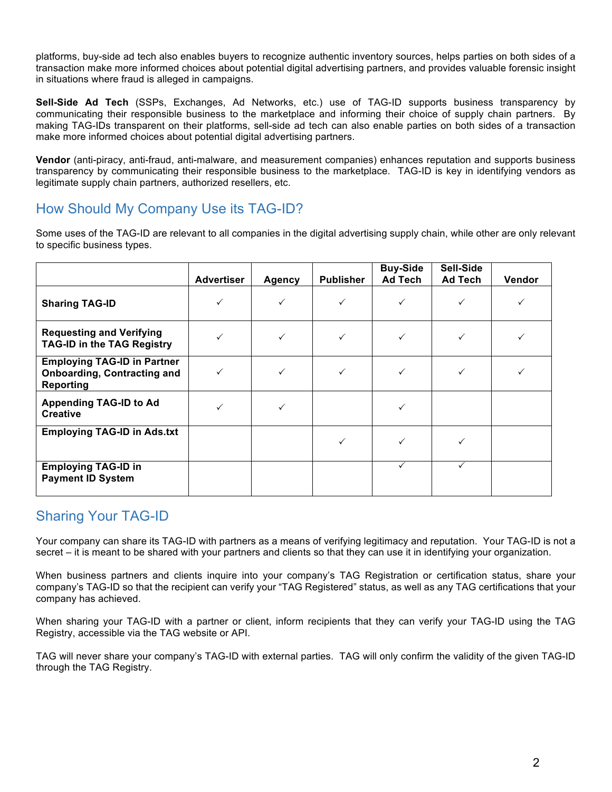platforms, buy-side ad tech also enables buyers to recognize authentic inventory sources, helps parties on both sides of a transaction make more informed choices about potential digital advertising partners, and provides valuable forensic insight in situations where fraud is alleged in campaigns.

**Sell-Side Ad Tech** (SSPs, Exchanges, Ad Networks, etc.) use of TAG-ID supports business transparency by communicating their responsible business to the marketplace and informing their choice of supply chain partners. By making TAG-IDs transparent on their platforms, sell-side ad tech can also enable parties on both sides of a transaction make more informed choices about potential digital advertising partners.

**Vendor** (anti-piracy, anti-fraud, anti-malware, and measurement companies) enhances reputation and supports business transparency by communicating their responsible business to the marketplace. TAG-ID is key in identifying vendors as legitimate supply chain partners, authorized resellers, etc.

## How Should My Company Use its TAG-ID?

Some uses of the TAG-ID are relevant to all companies in the digital advertising supply chain, while other are only relevant to specific business types.

|                                                                                       | <b>Advertiser</b> | <b>Agency</b> | <b>Publisher</b> | <b>Buy-Side</b><br>Ad Tech | Sell-Side<br>Ad Tech | Vendor |
|---------------------------------------------------------------------------------------|-------------------|---------------|------------------|----------------------------|----------------------|--------|
| <b>Sharing TAG-ID</b>                                                                 |                   |               | $\checkmark$     |                            |                      |        |
| <b>Requesting and Verifying</b><br><b>TAG-ID in the TAG Registry</b>                  |                   |               | ✓                |                            |                      |        |
| <b>Employing TAG-ID in Partner</b><br><b>Onboarding, Contracting and</b><br>Reporting |                   |               | $\checkmark$     |                            |                      |        |
| <b>Appending TAG-ID to Ad</b><br><b>Creative</b>                                      | ✓                 |               |                  |                            |                      |        |
| <b>Employing TAG-ID in Ads.txt</b>                                                    |                   |               | ✓                |                            |                      |        |
| <b>Employing TAG-ID in</b><br><b>Payment ID System</b>                                |                   |               |                  |                            |                      |        |

## Sharing Your TAG-ID

Your company can share its TAG-ID with partners as a means of verifying legitimacy and reputation. Your TAG-ID is not a secret – it is meant to be shared with your partners and clients so that they can use it in identifying your organization.

When business partners and clients inquire into your company's TAG Registration or certification status, share your company's TAG-ID so that the recipient can verify your "TAG Registered" status, as well as any TAG certifications that your company has achieved.

When sharing your TAG-ID with a partner or client, inform recipients that they can verify your TAG-ID using the TAG Registry, accessible via the TAG website or API.

TAG will never share your company's TAG-ID with external parties. TAG will only confirm the validity of the given TAG-ID through the TAG Registry.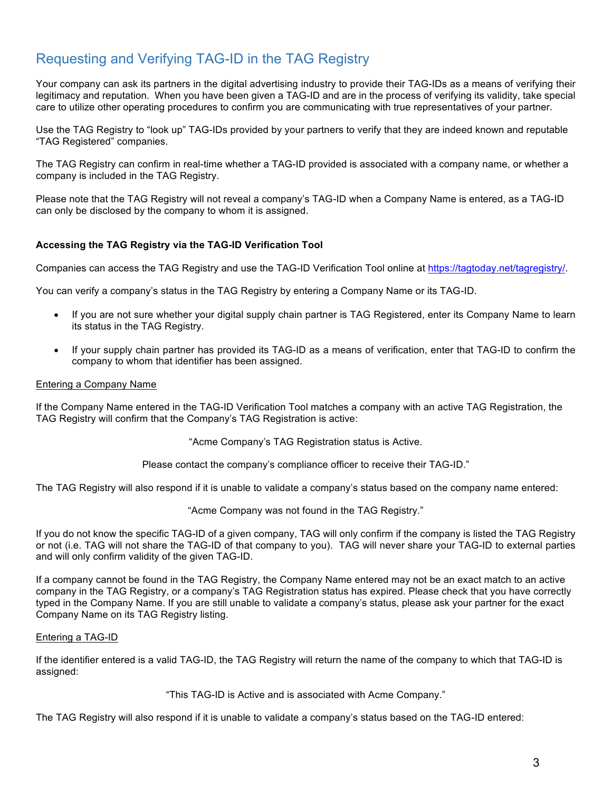## Requesting and Verifying TAG-ID in the TAG Registry

Your company can ask its partners in the digital advertising industry to provide their TAG-IDs as a means of verifying their legitimacy and reputation. When you have been given a TAG-ID and are in the process of verifying its validity, take special care to utilize other operating procedures to confirm you are communicating with true representatives of your partner.

Use the TAG Registry to "look up" TAG-IDs provided by your partners to verify that they are indeed known and reputable "TAG Registered" companies.

The TAG Registry can confirm in real-time whether a TAG-ID provided is associated with a company name, or whether a company is included in the TAG Registry.

Please note that the TAG Registry will not reveal a company's TAG-ID when a Company Name is entered, as a TAG-ID can only be disclosed by the company to whom it is assigned.

#### **Accessing the TAG Registry via the TAG-ID Verification Tool**

Companies can access the TAG Registry and use the TAG-ID Verification Tool online at https://tagtoday.net/tagregistry/.

You can verify a company's status in the TAG Registry by entering a Company Name or its TAG-ID.

- If you are not sure whether your digital supply chain partner is TAG Registered, enter its Company Name to learn its status in the TAG Registry.
- If your supply chain partner has provided its TAG-ID as a means of verification, enter that TAG-ID to confirm the company to whom that identifier has been assigned.

#### Entering a Company Name

If the Company Name entered in the TAG-ID Verification Tool matches a company with an active TAG Registration, the TAG Registry will confirm that the Company's TAG Registration is active:

"Acme Company's TAG Registration status is Active.

Please contact the company's compliance officer to receive their TAG-ID."

The TAG Registry will also respond if it is unable to validate a company's status based on the company name entered:

"Acme Company was not found in the TAG Registry."

If you do not know the specific TAG-ID of a given company, TAG will only confirm if the company is listed the TAG Registry or not (i.e. TAG will not share the TAG-ID of that company to you). TAG will never share your TAG-ID to external parties and will only confirm validity of the given TAG-ID.

If a company cannot be found in the TAG Registry, the Company Name entered may not be an exact match to an active company in the TAG Registry, or a company's TAG Registration status has expired. Please check that you have correctly typed in the Company Name. If you are still unable to validate a company's status, please ask your partner for the exact Company Name on its TAG Registry listing.

#### Entering a TAG-ID

If the identifier entered is a valid TAG-ID, the TAG Registry will return the name of the company to which that TAG-ID is assigned:

"This TAG-ID is Active and is associated with Acme Company."

The TAG Registry will also respond if it is unable to validate a company's status based on the TAG-ID entered: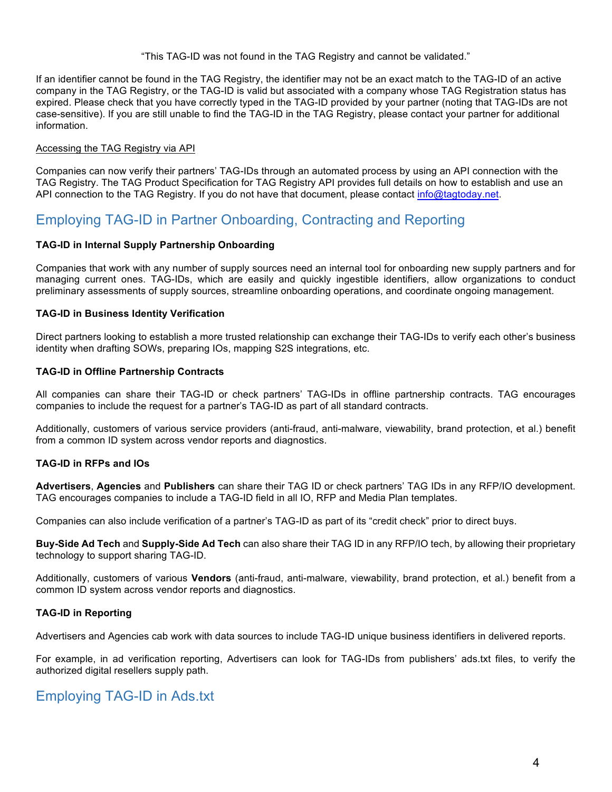"This TAG-ID was not found in the TAG Registry and cannot be validated."

If an identifier cannot be found in the TAG Registry, the identifier may not be an exact match to the TAG-ID of an active company in the TAG Registry, or the TAG-ID is valid but associated with a company whose TAG Registration status has expired. Please check that you have correctly typed in the TAG-ID provided by your partner (noting that TAG-IDs are not case-sensitive). If you are still unable to find the TAG-ID in the TAG Registry, please contact your partner for additional information.

#### Accessing the TAG Registry via API

Companies can now verify their partners' TAG-IDs through an automated process by using an API connection with the TAG Registry. The TAG Product Specification for TAG Registry API provides full details on how to establish and use an API connection to the TAG Registry. If you do not have that document, please contact info@tagtoday.net.

## Employing TAG-ID in Partner Onboarding, Contracting and Reporting

#### **TAG-ID in Internal Supply Partnership Onboarding**

Companies that work with any number of supply sources need an internal tool for onboarding new supply partners and for managing current ones. TAG-IDs, which are easily and quickly ingestible identifiers, allow organizations to conduct preliminary assessments of supply sources, streamline onboarding operations, and coordinate ongoing management.

#### **TAG-ID in Business Identity Verification**

Direct partners looking to establish a more trusted relationship can exchange their TAG-IDs to verify each other's business identity when drafting SOWs, preparing IOs, mapping S2S integrations, etc.

#### **TAG-ID in Offline Partnership Contracts**

All companies can share their TAG-ID or check partners' TAG-IDs in offline partnership contracts. TAG encourages companies to include the request for a partner's TAG-ID as part of all standard contracts.

Additionally, customers of various service providers (anti-fraud, anti-malware, viewability, brand protection, et al.) benefit from a common ID system across vendor reports and diagnostics.

#### **TAG-ID in RFPs and IOs**

**Advertisers**, **Agencies** and **Publishers** can share their TAG ID or check partners' TAG IDs in any RFP/IO development. TAG encourages companies to include a TAG-ID field in all IO, RFP and Media Plan templates.

Companies can also include verification of a partner's TAG-ID as part of its "credit check" prior to direct buys.

**Buy-Side Ad Tech** and **Supply-Side Ad Tech** can also share their TAG ID in any RFP/IO tech, by allowing their proprietary technology to support sharing TAG-ID.

Additionally, customers of various **Vendors** (anti-fraud, anti-malware, viewability, brand protection, et al.) benefit from a common ID system across vendor reports and diagnostics.

#### **TAG-ID in Reporting**

Advertisers and Agencies cab work with data sources to include TAG-ID unique business identifiers in delivered reports.

For example, in ad verification reporting, Advertisers can look for TAG-IDs from publishers' ads.txt files, to verify the authorized digital resellers supply path.

#### Employing TAG-ID in Ads.txt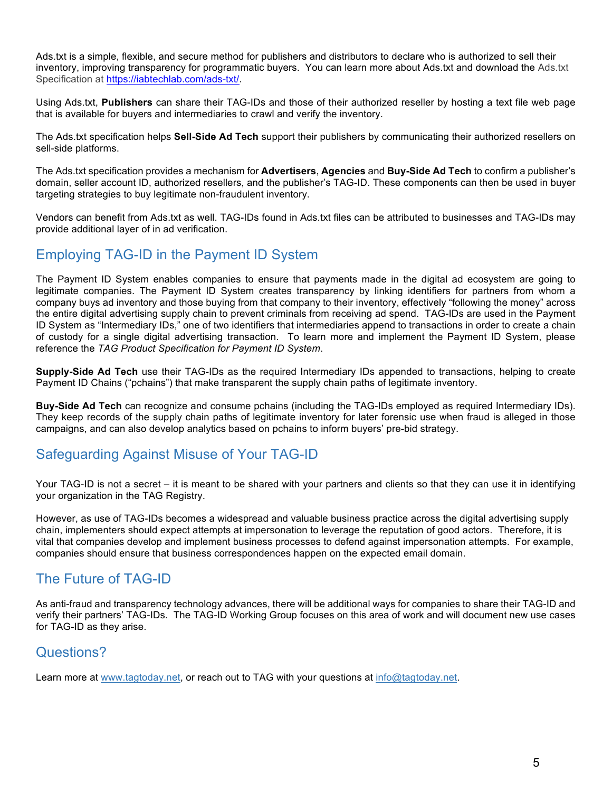Ads.txt is a simple, flexible, and secure method for publishers and distributors to declare who is authorized to sell their inventory, improving transparency for programmatic buyers. You can learn more about Ads.txt and download the Ads.txt Specification at https://iabtechlab.com/ads-txt/.

Using Ads.txt, **Publishers** can share their TAG-IDs and those of their authorized reseller by hosting a text file web page that is available for buyers and intermediaries to crawl and verify the inventory.

The Ads.txt specification helps **Sell-Side Ad Tech** support their publishers by communicating their authorized resellers on sell-side platforms.

The Ads.txt specification provides a mechanism for **Advertisers**, **Agencies** and **Buy-Side Ad Tech** to confirm a publisher's domain, seller account ID, authorized resellers, and the publisher's TAG-ID. These components can then be used in buyer targeting strategies to buy legitimate non-fraudulent inventory.

Vendors can benefit from Ads.txt as well. TAG-IDs found in Ads.txt files can be attributed to businesses and TAG-IDs may provide additional layer of in ad verification.

## Employing TAG-ID in the Payment ID System

The Payment ID System enables companies to ensure that payments made in the digital ad ecosystem are going to legitimate companies. The Payment ID System creates transparency by linking identifiers for partners from whom a company buys ad inventory and those buying from that company to their inventory, effectively "following the money" across the entire digital advertising supply chain to prevent criminals from receiving ad spend. TAG-IDs are used in the Payment ID System as "Intermediary IDs," one of two identifiers that intermediaries append to transactions in order to create a chain of custody for a single digital advertising transaction. To learn more and implement the Payment ID System, please reference the *TAG Product Specification for Payment ID System*.

**Supply-Side Ad Tech** use their TAG-IDs as the required Intermediary IDs appended to transactions, helping to create Payment ID Chains ("pchains") that make transparent the supply chain paths of legitimate inventory.

**Buy-Side Ad Tech** can recognize and consume pchains (including the TAG-IDs employed as required Intermediary IDs). They keep records of the supply chain paths of legitimate inventory for later forensic use when fraud is alleged in those campaigns, and can also develop analytics based on pchains to inform buyers' pre-bid strategy.

### Safeguarding Against Misuse of Your TAG-ID

Your TAG-ID is not a secret – it is meant to be shared with your partners and clients so that they can use it in identifying your organization in the TAG Registry.

However, as use of TAG-IDs becomes a widespread and valuable business practice across the digital advertising supply chain, implementers should expect attempts at impersonation to leverage the reputation of good actors. Therefore, it is vital that companies develop and implement business processes to defend against impersonation attempts. For example, companies should ensure that business correspondences happen on the expected email domain.

## The Future of TAG-ID

As anti-fraud and transparency technology advances, there will be additional ways for companies to share their TAG-ID and verify their partners' TAG-IDs. The TAG-ID Working Group focuses on this area of work and will document new use cases for TAG-ID as they arise.

### Questions?

Learn more at www.tagtoday.net, or reach out to TAG with your questions at info@tagtoday.net.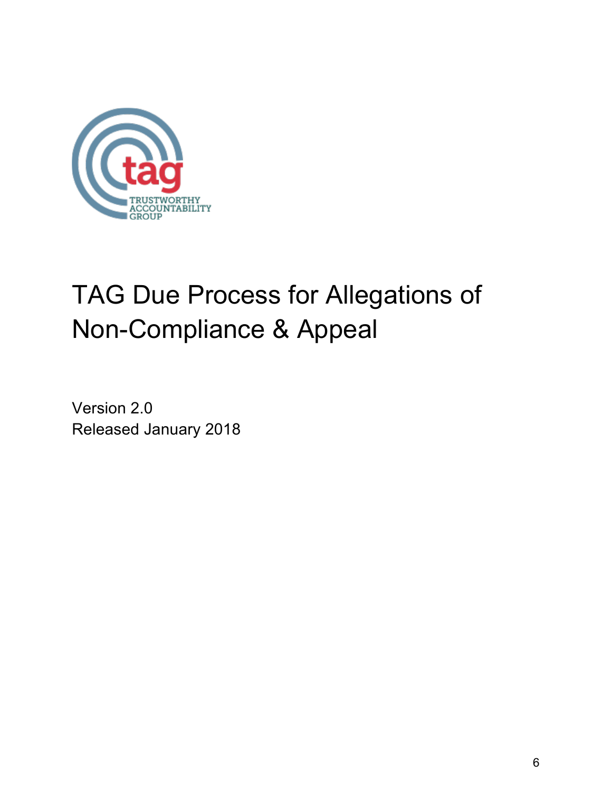

# TAG Due Process for Allegations of Non-Compliance & Appeal

Version 2.0 Released January 2018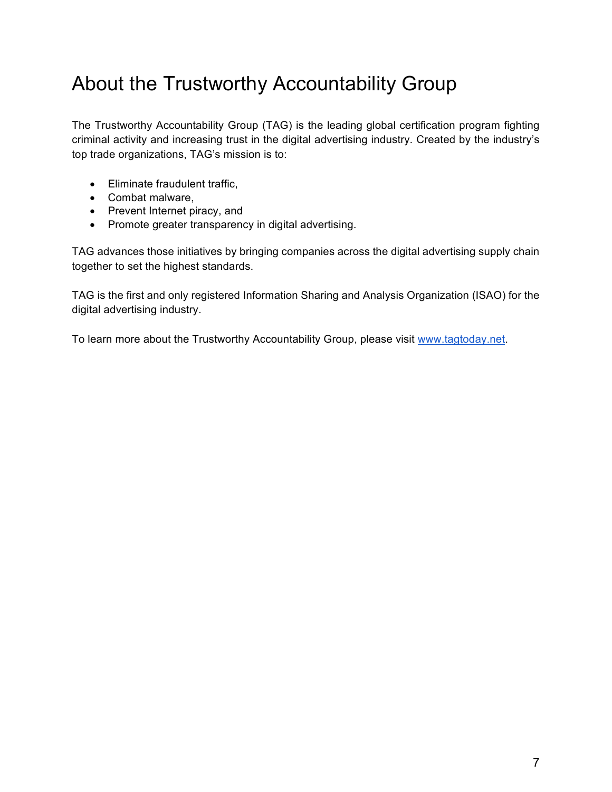## About the Trustworthy Accountability Group

The Trustworthy Accountability Group (TAG) is the leading global certification program fighting criminal activity and increasing trust in the digital advertising industry. Created by the industry's top trade organizations, TAG's mission is to:

- Eliminate fraudulent traffic,
- Combat malware,
- Prevent Internet piracy, and
- Promote greater transparency in digital advertising.

TAG advances those initiatives by bringing companies across the digital advertising supply chain together to set the highest standards.

TAG is the first and only registered Information Sharing and Analysis Organization (ISAO) for the digital advertising industry.

To learn more about the Trustworthy Accountability Group, please visit www.tagtoday.net.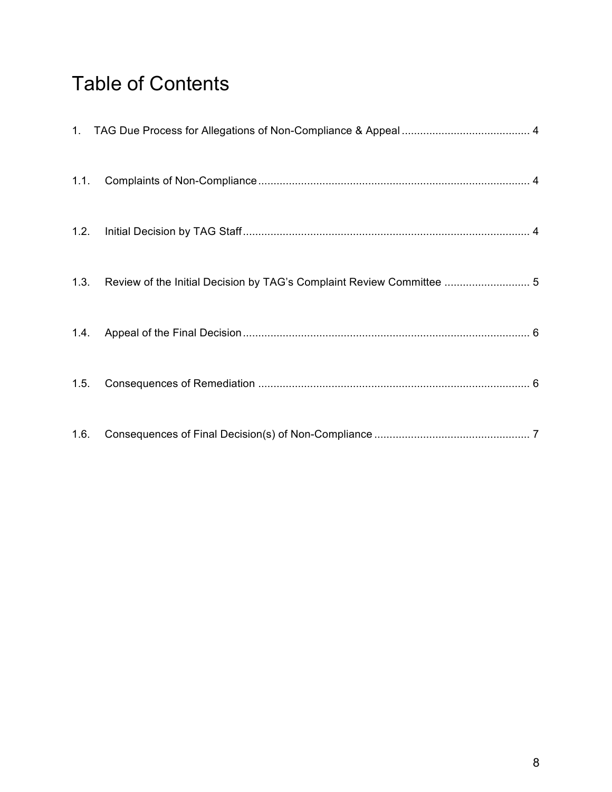## Table of Contents

|      | 1.3. Review of the Initial Decision by TAG's Complaint Review Committee  5 |  |
|------|----------------------------------------------------------------------------|--|
|      |                                                                            |  |
| 1.5. |                                                                            |  |
| 1.6. |                                                                            |  |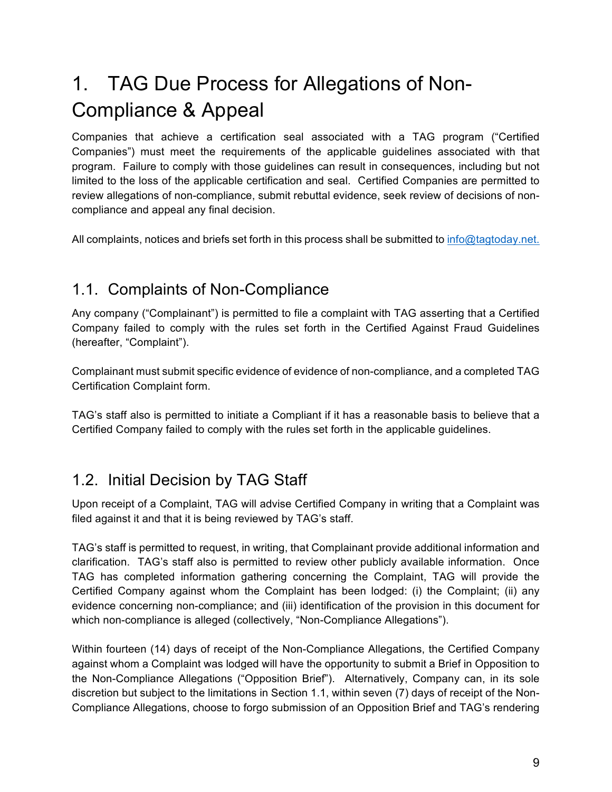## 1. TAG Due Process for Allegations of Non-Compliance & Appeal

Companies that achieve a certification seal associated with a TAG program ("Certified Companies") must meet the requirements of the applicable guidelines associated with that program. Failure to comply with those guidelines can result in consequences, including but not limited to the loss of the applicable certification and seal. Certified Companies are permitted to review allegations of non-compliance, submit rebuttal evidence, seek review of decisions of noncompliance and appeal any final decision.

All complaints, notices and briefs set forth in this process shall be submitted to info@tagtoday.net.

## 1.1. Complaints of Non-Compliance

Any company ("Complainant") is permitted to file a complaint with TAG asserting that a Certified Company failed to comply with the rules set forth in the Certified Against Fraud Guidelines (hereafter, "Complaint").

Complainant must submit specific evidence of evidence of non-compliance, and a completed TAG Certification Complaint form.

TAG's staff also is permitted to initiate a Compliant if it has a reasonable basis to believe that a Certified Company failed to comply with the rules set forth in the applicable guidelines.

## 1.2. Initial Decision by TAG Staff

Upon receipt of a Complaint, TAG will advise Certified Company in writing that a Complaint was filed against it and that it is being reviewed by TAG's staff.

TAG's staff is permitted to request, in writing, that Complainant provide additional information and clarification. TAG's staff also is permitted to review other publicly available information. Once TAG has completed information gathering concerning the Complaint, TAG will provide the Certified Company against whom the Complaint has been lodged: (i) the Complaint; (ii) any evidence concerning non-compliance; and (iii) identification of the provision in this document for which non-compliance is alleged (collectively, "Non-Compliance Allegations").

Within fourteen (14) days of receipt of the Non-Compliance Allegations, the Certified Company against whom a Complaint was lodged will have the opportunity to submit a Brief in Opposition to the Non-Compliance Allegations ("Opposition Brief"). Alternatively, Company can, in its sole discretion but subject to the limitations in Section 1.1, within seven (7) days of receipt of the Non-Compliance Allegations, choose to forgo submission of an Opposition Brief and TAG's rendering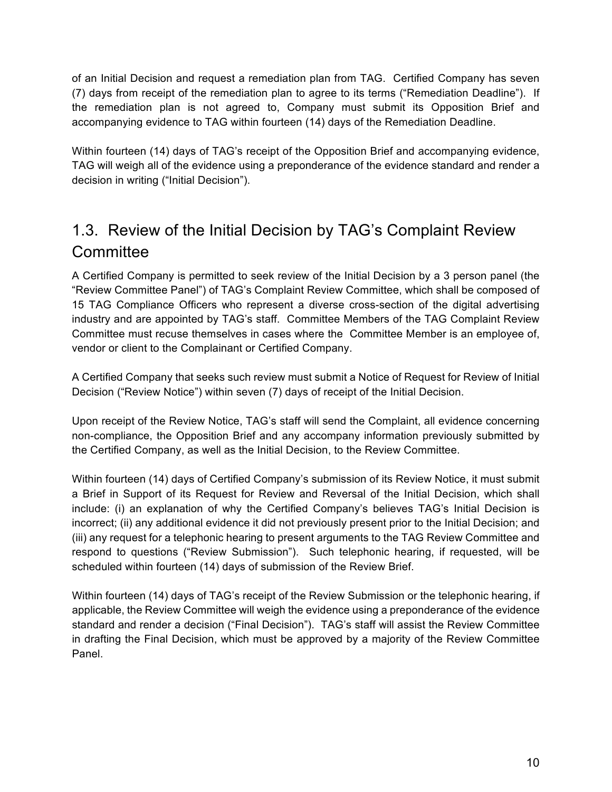of an Initial Decision and request a remediation plan from TAG. Certified Company has seven (7) days from receipt of the remediation plan to agree to its terms ("Remediation Deadline"). If the remediation plan is not agreed to, Company must submit its Opposition Brief and accompanying evidence to TAG within fourteen (14) days of the Remediation Deadline.

Within fourteen (14) days of TAG's receipt of the Opposition Brief and accompanying evidence, TAG will weigh all of the evidence using a preponderance of the evidence standard and render a decision in writing ("Initial Decision").

## 1.3. Review of the Initial Decision by TAG's Complaint Review **Committee**

A Certified Company is permitted to seek review of the Initial Decision by a 3 person panel (the "Review Committee Panel") of TAG's Complaint Review Committee, which shall be composed of 15 TAG Compliance Officers who represent a diverse cross-section of the digital advertising industry and are appointed by TAG's staff. Committee Members of the TAG Complaint Review Committee must recuse themselves in cases where the Committee Member is an employee of, vendor or client to the Complainant or Certified Company.

A Certified Company that seeks such review must submit a Notice of Request for Review of Initial Decision ("Review Notice") within seven (7) days of receipt of the Initial Decision.

Upon receipt of the Review Notice, TAG's staff will send the Complaint, all evidence concerning non-compliance, the Opposition Brief and any accompany information previously submitted by the Certified Company, as well as the Initial Decision, to the Review Committee.

Within fourteen (14) days of Certified Company's submission of its Review Notice, it must submit a Brief in Support of its Request for Review and Reversal of the Initial Decision, which shall include: (i) an explanation of why the Certified Company's believes TAG's Initial Decision is incorrect; (ii) any additional evidence it did not previously present prior to the Initial Decision; and (iii) any request for a telephonic hearing to present arguments to the TAG Review Committee and respond to questions ("Review Submission"). Such telephonic hearing, if requested, will be scheduled within fourteen (14) days of submission of the Review Brief.

Within fourteen (14) days of TAG's receipt of the Review Submission or the telephonic hearing, if applicable, the Review Committee will weigh the evidence using a preponderance of the evidence standard and render a decision ("Final Decision"). TAG's staff will assist the Review Committee in drafting the Final Decision, which must be approved by a majority of the Review Committee Panel.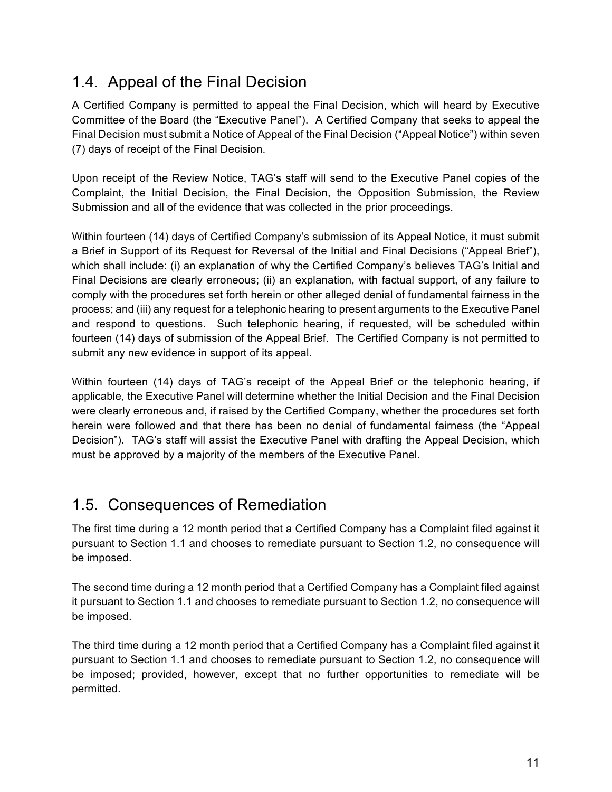## 1.4. Appeal of the Final Decision

A Certified Company is permitted to appeal the Final Decision, which will heard by Executive Committee of the Board (the "Executive Panel"). A Certified Company that seeks to appeal the Final Decision must submit a Notice of Appeal of the Final Decision ("Appeal Notice") within seven (7) days of receipt of the Final Decision.

Upon receipt of the Review Notice, TAG's staff will send to the Executive Panel copies of the Complaint, the Initial Decision, the Final Decision, the Opposition Submission, the Review Submission and all of the evidence that was collected in the prior proceedings.

Within fourteen (14) days of Certified Company's submission of its Appeal Notice, it must submit a Brief in Support of its Request for Reversal of the Initial and Final Decisions ("Appeal Brief"), which shall include: (i) an explanation of why the Certified Company's believes TAG's Initial and Final Decisions are clearly erroneous; (ii) an explanation, with factual support, of any failure to comply with the procedures set forth herein or other alleged denial of fundamental fairness in the process; and (iii) any request for a telephonic hearing to present arguments to the Executive Panel and respond to questions. Such telephonic hearing, if requested, will be scheduled within fourteen (14) days of submission of the Appeal Brief. The Certified Company is not permitted to submit any new evidence in support of its appeal.

Within fourteen (14) days of TAG's receipt of the Appeal Brief or the telephonic hearing, if applicable, the Executive Panel will determine whether the Initial Decision and the Final Decision were clearly erroneous and, if raised by the Certified Company, whether the procedures set forth herein were followed and that there has been no denial of fundamental fairness (the "Appeal Decision"). TAG's staff will assist the Executive Panel with drafting the Appeal Decision, which must be approved by a majority of the members of the Executive Panel.

## 1.5. Consequences of Remediation

The first time during a 12 month period that a Certified Company has a Complaint filed against it pursuant to Section 1.1 and chooses to remediate pursuant to Section 1.2, no consequence will be imposed.

The second time during a 12 month period that a Certified Company has a Complaint filed against it pursuant to Section 1.1 and chooses to remediate pursuant to Section 1.2, no consequence will be imposed.

The third time during a 12 month period that a Certified Company has a Complaint filed against it pursuant to Section 1.1 and chooses to remediate pursuant to Section 1.2, no consequence will be imposed; provided, however, except that no further opportunities to remediate will be permitted.